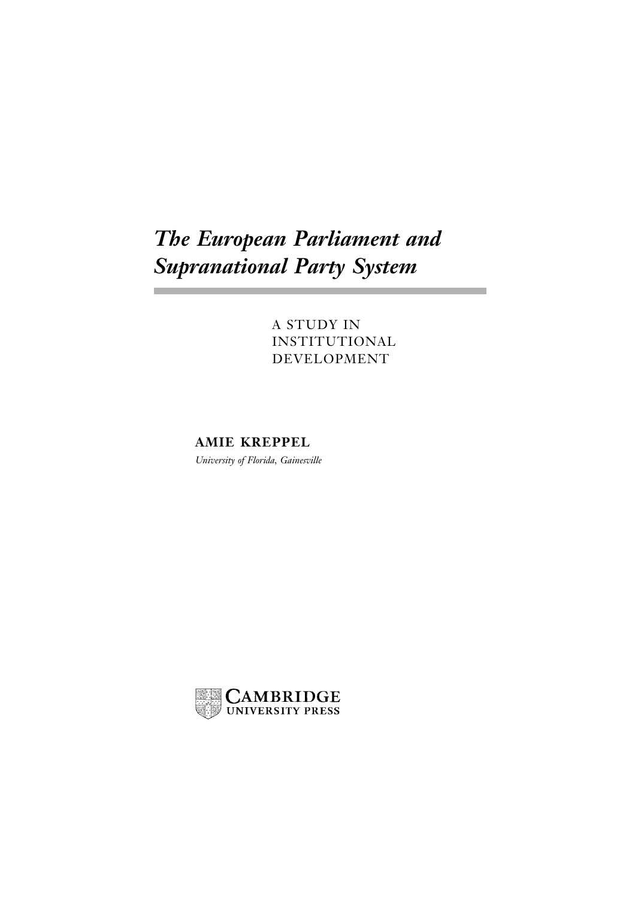## A STUDY IN INSTITUTIONAL DEVELOPMENT

### **AMIE KREPPEL**

**AMIE KREPPEL** *University of Florida, Gainesville*

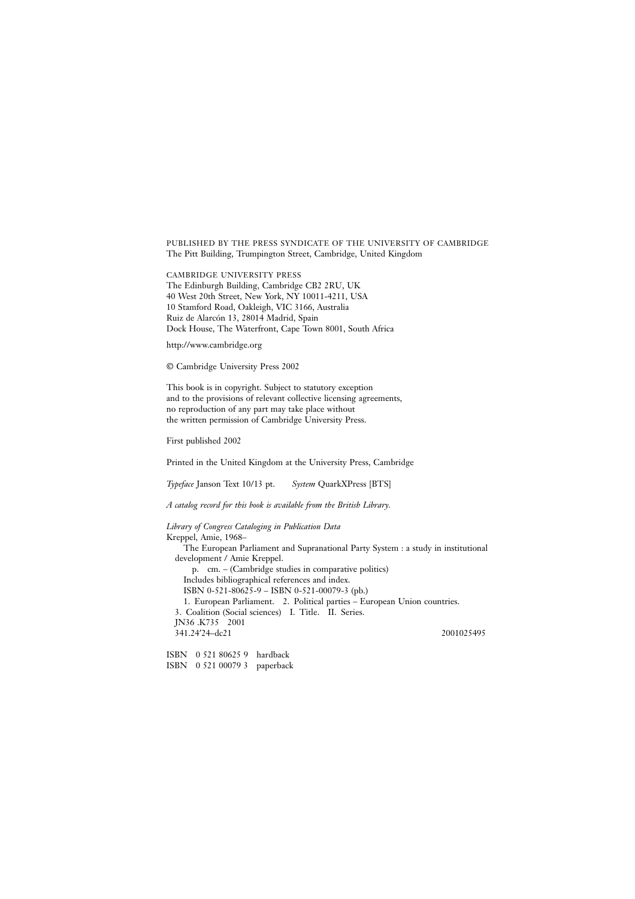PUBLISHED BY THE PRESS SYNDICATE OF THE UNIVERSITY OF CAMBRIDGE The Pitt Building, Trumpington Street, Cambridge, United Kingdom

CAMBRIDGE UNIVERSITY PRESS The Edinburgh Building, Cambridge CB2 2RU, UK 40 West 20th Street, New York, NY 10011-4211, USA 10 Stamford Road, Oakleigh, VIC 3166, Australia Ruiz de Alarcón 13, 28014 Madrid, Spain Dock House, The Waterfront, Cape Town 8001, South Africa

http://www.cambridge.org

© Cambridge University Press 2002

This book is in copyright. Subject to statutory exception and to the provisions of relevant collective licensing agreements, no reproduction of any part may take place without the written permission of Cambridge University Press.

First published 2002

Printed in the United Kingdom at the University Press, Cambridge

*Typeface* Janson Text 10/13 pt. *System* QuarkXPress [BTS]

*A catalog record for this book is available from the British Library.*

*Library of Congress Cataloging in Publication Data* Kreppel, Amie, 1968– The European Parliament and Supranational Party System : a study in institutional development / Amie Kreppel. p. cm. – (Cambridge studies in comparative politics) Includes bibliographical references and index. ISBN 0-521-80625-9 – ISBN 0-521-00079-3 (pb.) 1. European Parliament. 2. Political parties – European Union countries. 3. Coalition (Social sciences) I. Title. II. Series. JN36 .K735 2001 341.24¢24–dc21 2001025495

ISBN 0 521 80625 9 hardback ISBN 0 521 00079 3 paperback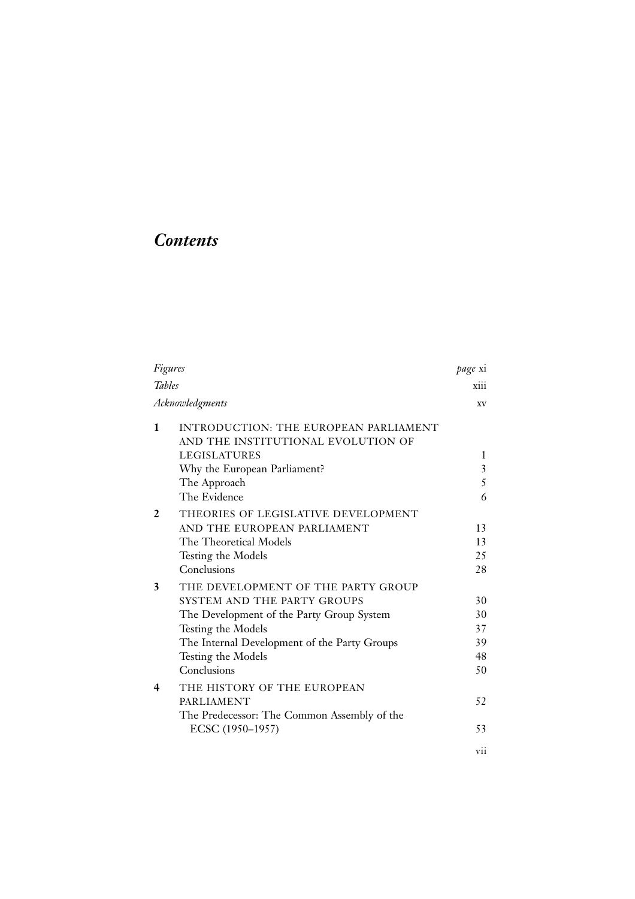## *Contents*

| page xi                                      |
|----------------------------------------------|
| xiii                                         |
| <b>XV</b>                                    |
| <b>INTRODUCTION: THE EUROPEAN PARLIAMENT</b> |
| 1                                            |
| $\overline{3}$                               |
| 5                                            |
| 6                                            |
|                                              |
| 13                                           |
| 13                                           |
| 25                                           |
| 28                                           |
|                                              |
| 30                                           |
| 30                                           |
| 37                                           |
| 39                                           |
| 48                                           |
| 50                                           |
|                                              |
| 52                                           |
|                                              |
| 53                                           |
| vii                                          |
|                                              |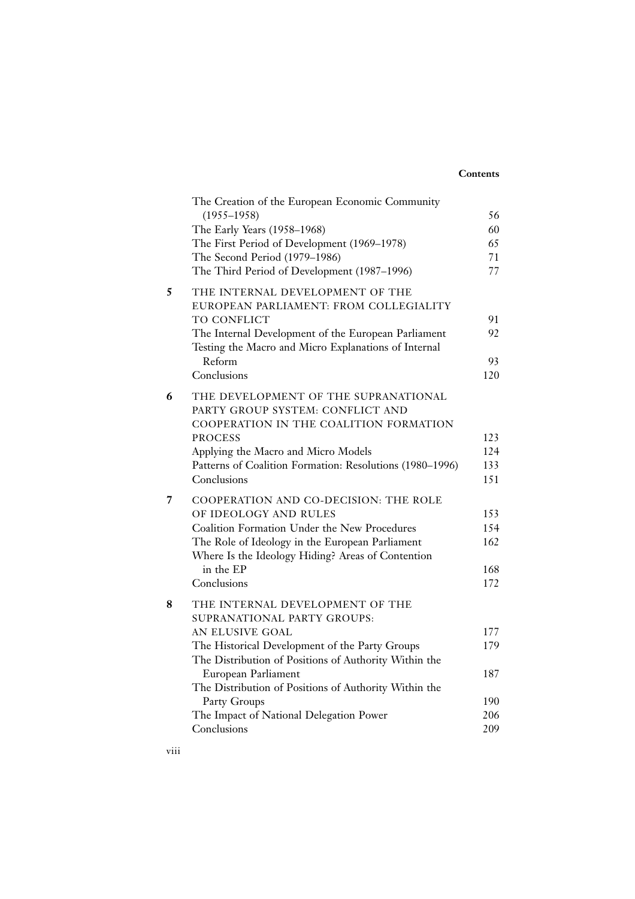|   | The Creation of the European Economic Community                                                             |     |
|---|-------------------------------------------------------------------------------------------------------------|-----|
|   | $(1955 - 1958)$                                                                                             | 56  |
|   | The Early Years (1958-1968)                                                                                 | 60  |
|   | The First Period of Development (1969-1978)                                                                 | 65  |
|   | The Second Period (1979-1986)                                                                               | 71  |
|   | The Third Period of Development (1987-1996)                                                                 | 77  |
| 5 | THE INTERNAL DEVELOPMENT OF THE                                                                             |     |
|   | EUROPEAN PARLIAMENT: FROM COLLEGIALITY                                                                      |     |
|   | TO CONFLICT                                                                                                 | 91  |
|   | The Internal Development of the European Parliament<br>Testing the Macro and Micro Explanations of Internal | 92  |
|   | Reform                                                                                                      | 93  |
|   | Conclusions                                                                                                 | 120 |
| 6 | THE DEVELOPMENT OF THE SUPRANATIONAL<br>PARTY GROUP SYSTEM: CONFLICT AND                                    |     |
|   | COOPERATION IN THE COALITION FORMATION                                                                      |     |
|   | <b>PROCESS</b>                                                                                              | 123 |
|   | Applying the Macro and Micro Models                                                                         | 124 |
|   | Patterns of Coalition Formation: Resolutions (1980-1996)                                                    | 133 |
|   | Conclusions                                                                                                 | 151 |
| 7 | COOPERATION AND CO-DECISION: THE ROLE                                                                       |     |
|   | OF IDEOLOGY AND RULES                                                                                       | 153 |
|   | Coalition Formation Under the New Procedures                                                                | 154 |
|   | The Role of Ideology in the European Parliament                                                             | 162 |
|   | Where Is the Ideology Hiding? Areas of Contention                                                           |     |
|   | in the EP                                                                                                   | 168 |
|   | Conclusions                                                                                                 | 172 |
| 8 | THE INTERNAL DEVELOPMENT OF THE                                                                             |     |
|   | SUPRANATIONAL PARTY GROUPS:                                                                                 |     |
|   | AN ELUSIVE GOAL                                                                                             | 177 |
|   | The Historical Development of the Party Groups                                                              | 179 |
|   | The Distribution of Positions of Authority Within the                                                       |     |
|   | European Parliament                                                                                         | 187 |
|   | The Distribution of Positions of Authority Within the                                                       |     |
|   | Party Groups                                                                                                | 190 |
|   | The Impact of National Delegation Power                                                                     | 206 |
|   | Conclusions                                                                                                 | 209 |
|   |                                                                                                             |     |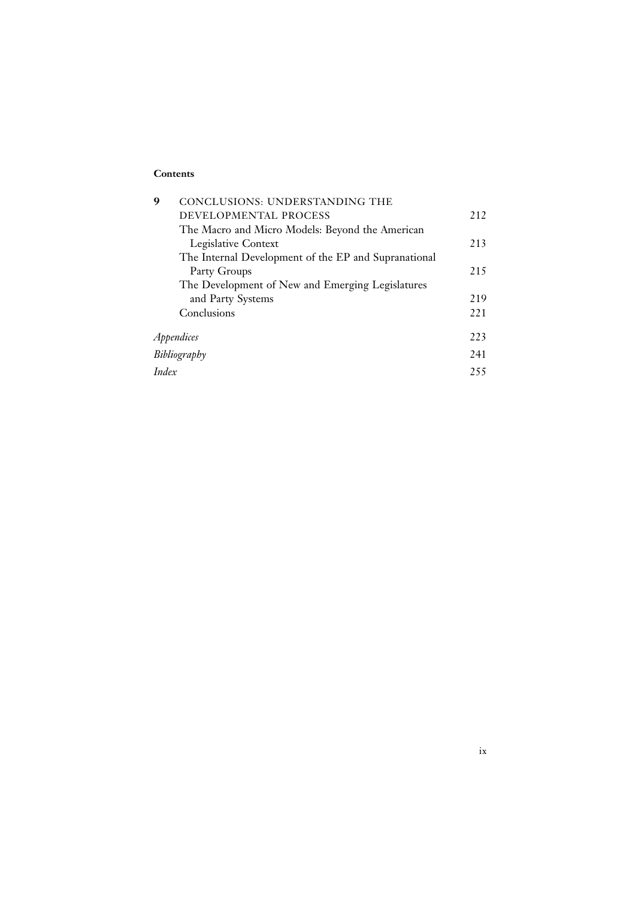| 212 |
|-----|
|     |
| 213 |
|     |
| 215 |
|     |
| 219 |
| 221 |
| 223 |
| 241 |
| 255 |
|     |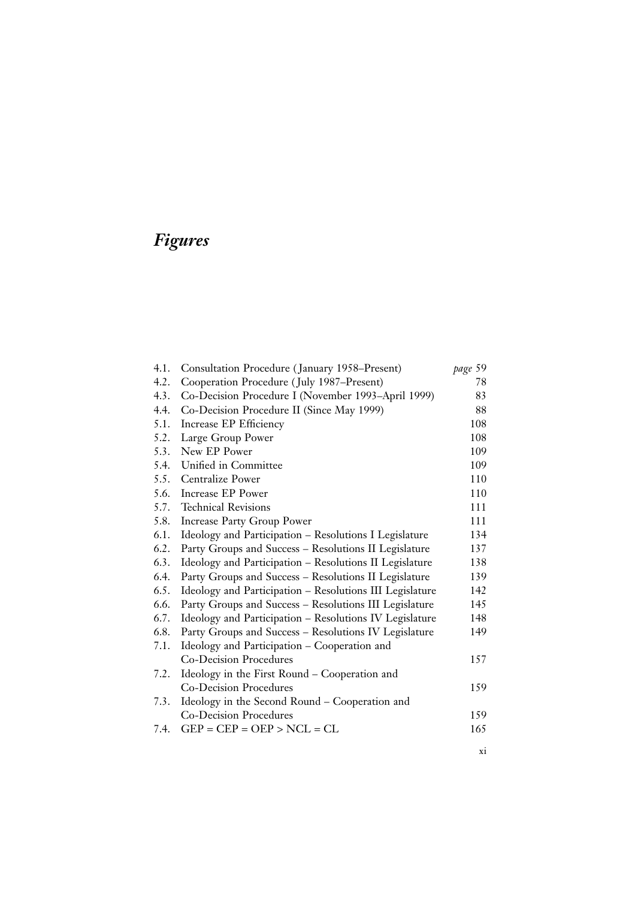# *Figures*

| 4.1. | Consultation Procedure (January 1958–Present)            | page 59 |
|------|----------------------------------------------------------|---------|
| 4.2. | Cooperation Procedure (July 1987–Present)                | 78      |
| 4.3. | Co-Decision Procedure I (November 1993-April 1999)       | 83      |
| 4.4. | Co-Decision Procedure II (Since May 1999)                | 88      |
| 5.1. | Increase EP Efficiency                                   | 108     |
| 5.2. | Large Group Power                                        | 108     |
| 5.3. | New EP Power                                             | 109     |
| 5.4. | Unified in Committee                                     | 109     |
| 5.5. | <b>Centralize Power</b>                                  | 110     |
| 5.6. | Increase EP Power                                        | 110     |
| 5.7. | <b>Technical Revisions</b>                               | 111     |
| 5.8. | <b>Increase Party Group Power</b>                        | 111     |
| 6.1. | Ideology and Participation - Resolutions I Legislature   | 134     |
| 6.2. | Party Groups and Success - Resolutions II Legislature    | 137     |
| 6.3. | Ideology and Participation - Resolutions II Legislature  | 138     |
| 6.4. | Party Groups and Success – Resolutions II Legislature    | 139     |
| 6.5. | Ideology and Participation - Resolutions III Legislature | 142     |
| 6.6. | Party Groups and Success - Resolutions III Legislature   | 145     |
| 6.7. | Ideology and Participation - Resolutions IV Legislature  | 148     |
| 6.8. | Party Groups and Success - Resolutions IV Legislature    | 149     |
| 7.1. | Ideology and Participation – Cooperation and             |         |
|      | <b>Co-Decision Procedures</b>                            | 157     |
| 7.2. | Ideology in the First Round - Cooperation and            |         |
|      | <b>Co-Decision Procedures</b>                            | 159     |
| 7.3. | Ideology in the Second Round - Cooperation and           |         |
|      | <b>Co-Decision Procedures</b>                            | 159     |
| 7.4. | $GEP = CEP = OEP > NCL = CL$                             | 165     |
|      |                                                          |         |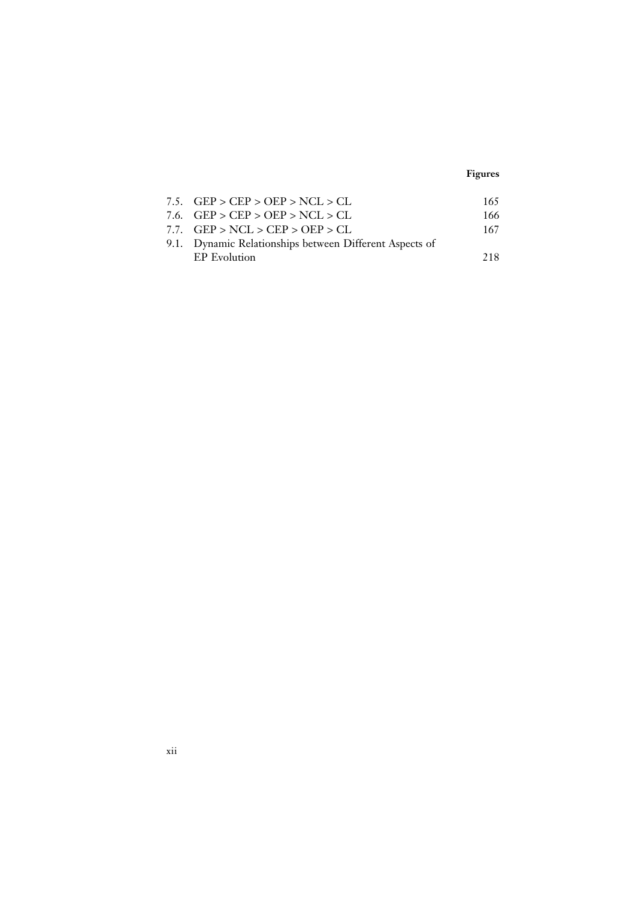### **Figures**

| 7.5. $GEP > CEP > OEP > NCL > CL$                       | 165. |
|---------------------------------------------------------|------|
| 7.6. $GEP > CEP > OEP > NCL > CL$                       | 166  |
| 7.7. GEP > NCL > CEP > OEP > CL                         | 167  |
| 9.1. Dynamic Relationships between Different Aspects of |      |
| <b>EP</b> Evolution                                     | 218  |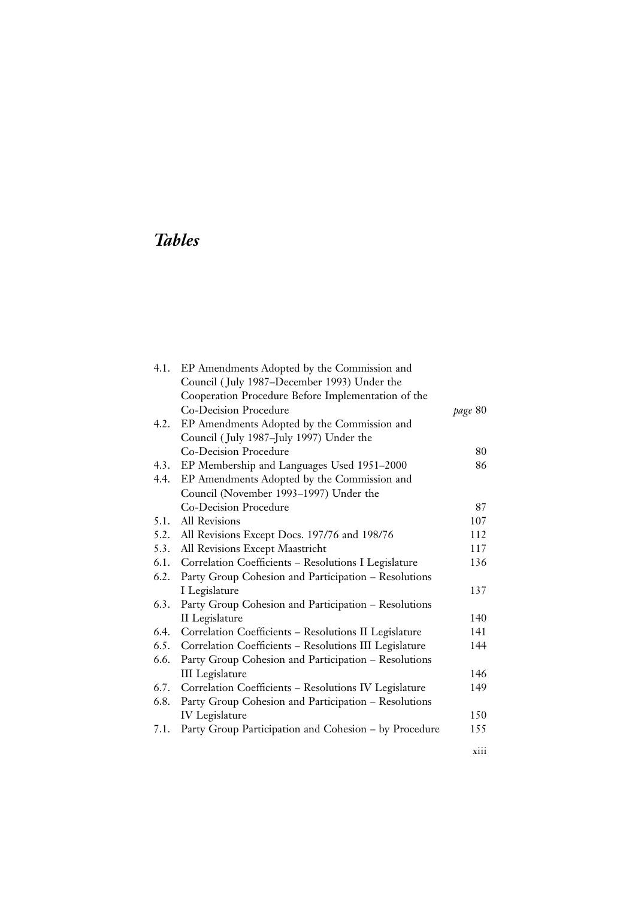# *Tables*

| 4.1. | EP Amendments Adopted by the Commission and                 |         |
|------|-------------------------------------------------------------|---------|
|      | Council (July 1987-December 1993) Under the                 |         |
|      | Cooperation Procedure Before Implementation of the          |         |
|      | <b>Co-Decision Procedure</b>                                | page 80 |
| 4.2. | EP Amendments Adopted by the Commission and                 |         |
|      | Council (July 1987-July 1997) Under the                     |         |
|      | <b>Co-Decision Procedure</b>                                | 80      |
| 4.3. | EP Membership and Languages Used 1951-2000                  | 86      |
| 4.4. | EP Amendments Adopted by the Commission and                 |         |
|      | Council (November 1993-1997) Under the                      |         |
|      | <b>Co-Decision Procedure</b>                                | 87      |
| 5.1. | All Revisions                                               | 107     |
| 5.2. | All Revisions Except Docs. 197/76 and 198/76                | 112     |
| 5.3. | All Revisions Except Maastricht                             | 117     |
|      | 6.1. Correlation Coefficients - Resolutions I Legislature   | 136     |
| 6.2. | Party Group Cohesion and Participation - Resolutions        |         |
|      | I Legislature                                               | 137     |
| 6.3. | Party Group Cohesion and Participation - Resolutions        |         |
|      | II Legislature                                              | 140     |
| 6.4. | Correlation Coefficients - Resolutions II Legislature       | 141     |
|      | 6.5. Correlation Coefficients - Resolutions III Legislature | 144     |
| 6.6. | Party Group Cohesion and Participation - Resolutions        |         |
|      | <b>III</b> Legislature                                      | 146     |
| 6.7. | Correlation Coefficients - Resolutions IV Legislature       | 149     |
| 6.8. | Party Group Cohesion and Participation - Resolutions        |         |
|      | <b>IV</b> Legislature                                       | 150     |
| 7.1. | Party Group Participation and Cohesion - by Procedure       | 155     |
|      |                                                             |         |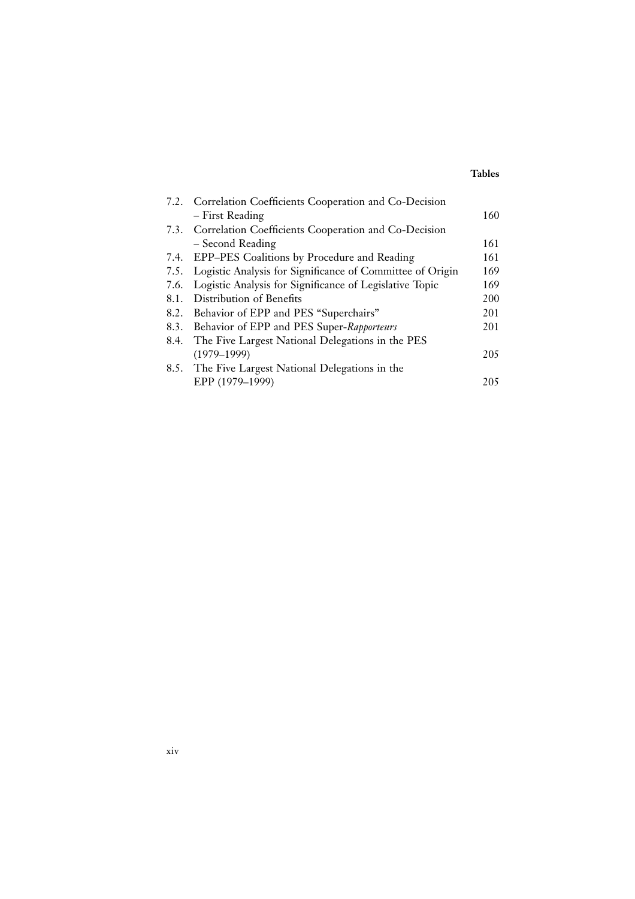| 7.2. Correlation Coefficients Cooperation and Co-Decision      |     |
|----------------------------------------------------------------|-----|
| – First Reading                                                | 160 |
| 7.3. Correlation Coefficients Cooperation and Co-Decision      |     |
| - Second Reading                                               | 161 |
| 7.4. EPP–PES Coalitions by Procedure and Reading               | 161 |
| 7.5. Logistic Analysis for Significance of Committee of Origin | 169 |
| 7.6. Logistic Analysis for Significance of Legislative Topic   | 169 |
| 8.1. Distribution of Benefits                                  | 200 |
| 8.2. Behavior of EPP and PES "Superchairs"                     | 201 |
| 8.3. Behavior of EPP and PES Super-Rapporteurs                 | 201 |
| 8.4. The Five Largest National Delegations in the PES          |     |
| $(1979 - 1999)$                                                | 205 |
| 8.5. The Five Largest National Delegations in the              |     |
| EPP (1979-1999)                                                | 205 |
|                                                                |     |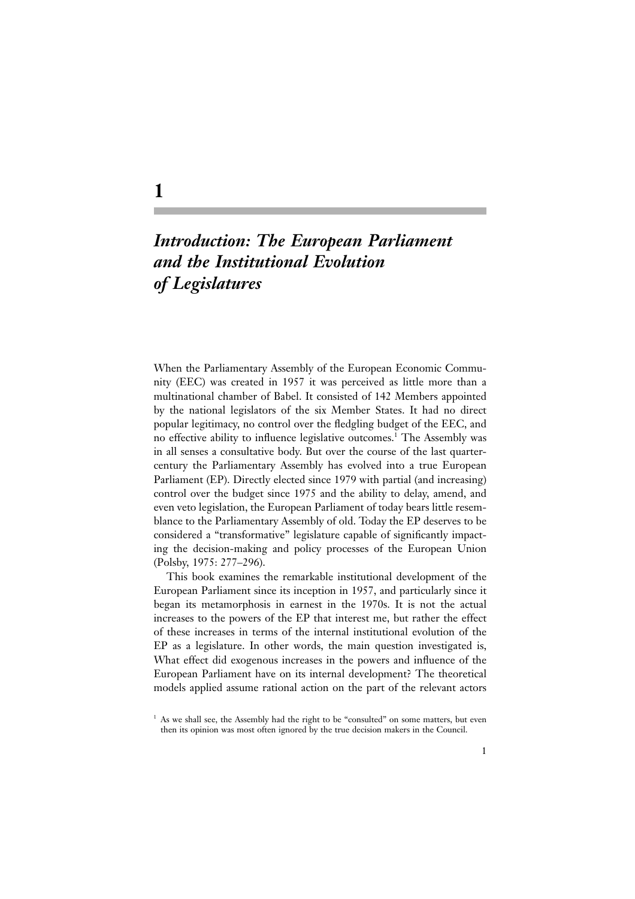## *Introduction: The European Parliament and the Institutional Evolution of Legislatures*

When the Parliamentary Assembly of the European Economic Community (EEC) was created in 1957 it was perceived as little more than a multinational chamber of Babel. It consisted of 142 Members appointed by the national legislators of the six Member States. It had no direct popular legitimacy, no control over the fledgling budget of the EEC, and no effective ability to influence legislative outcomes.<sup>1</sup> The Assembly was in all senses a consultative body. But over the course of the last quartercentury the Parliamentary Assembly has evolved into a true European Parliament (EP). Directly elected since 1979 with partial (and increasing) control over the budget since 1975 and the ability to delay, amend, and even veto legislation, the European Parliament of today bears little resemblance to the Parliamentary Assembly of old. Today the EP deserves to be considered a "transformative" legislature capable of significantly impacting the decision-making and policy processes of the European Union (Polsby, 1975: 277–296).

This book examines the remarkable institutional development of the European Parliament since its inception in 1957, and particularly since it began its metamorphosis in earnest in the 1970s. It is not the actual increases to the powers of the EP that interest me, but rather the effect of these increases in terms of the internal institutional evolution of the EP as a legislature. In other words, the main question investigated is, What effect did exogenous increases in the powers and influence of the European Parliament have on its internal development? The theoretical models applied assume rational action on the part of the relevant actors

<sup>&</sup>lt;sup>1</sup> As we shall see, the Assembly had the right to be "consulted" on some matters, but even then its opinion was most often ignored by the true decision makers in the Council.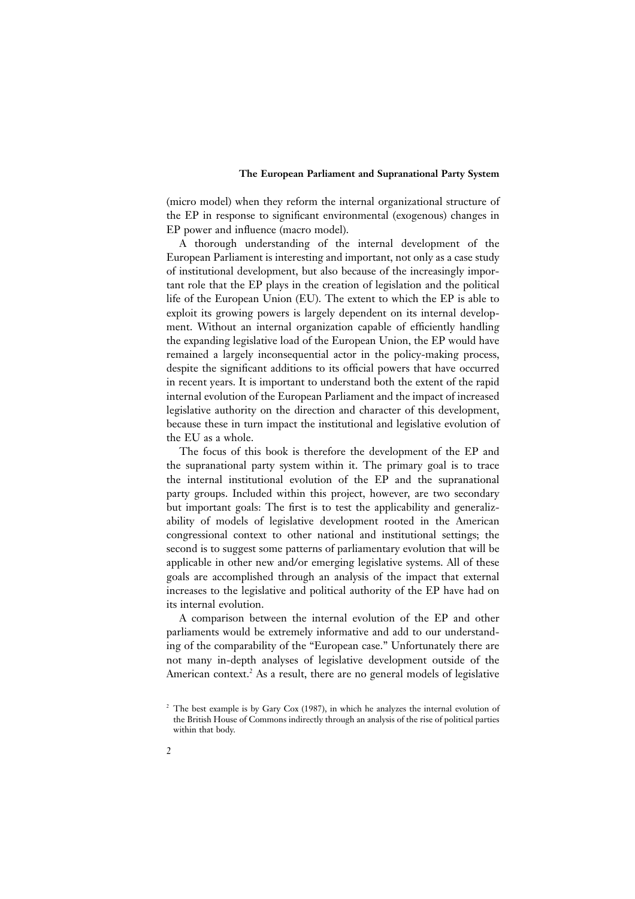(micro model) when they reform the internal organizational structure of the EP in response to significant environmental (exogenous) changes in EP power and influence (macro model).

A thorough understanding of the internal development of the European Parliament is interesting and important, not only as a case study of institutional development, but also because of the increasingly important role that the EP plays in the creation of legislation and the political life of the European Union (EU). The extent to which the EP is able to exploit its growing powers is largely dependent on its internal development. Without an internal organization capable of efficiently handling the expanding legislative load of the European Union, the EP would have remained a largely inconsequential actor in the policy-making process, despite the significant additions to its official powers that have occurred in recent years. It is important to understand both the extent of the rapid internal evolution of the European Parliament and the impact of increased legislative authority on the direction and character of this development, because these in turn impact the institutional and legislative evolution of the EU as a whole.

The focus of this book is therefore the development of the EP and the supranational party system within it. The primary goal is to trace the internal institutional evolution of the EP and the supranational party groups. Included within this project, however, are two secondary but important goals: The first is to test the applicability and generalizability of models of legislative development rooted in the American congressional context to other national and institutional settings; the second is to suggest some patterns of parliamentary evolution that will be applicable in other new and/or emerging legislative systems. All of these goals are accomplished through an analysis of the impact that external increases to the legislative and political authority of the EP have had on its internal evolution.

A comparison between the internal evolution of the EP and other parliaments would be extremely informative and add to our understanding of the comparability of the "European case." Unfortunately there are not many in-depth analyses of legislative development outside of the American context.<sup>2</sup> As a result, there are no general models of legislative

<sup>2</sup> The best example is by Gary Cox (1987), in which he analyzes the internal evolution of the British House of Commons indirectly through an analysis of the rise of political parties within that body.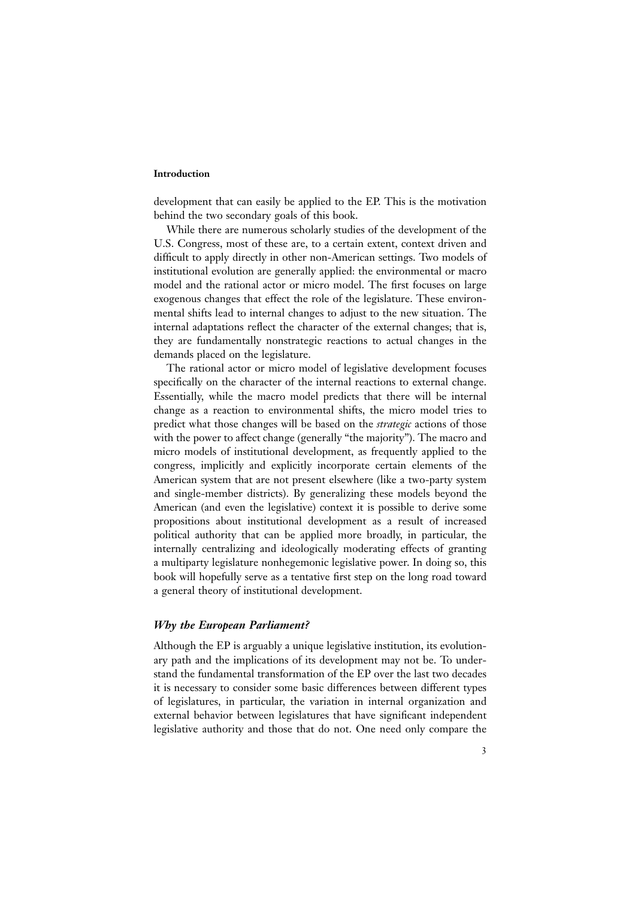development that can easily be applied to the EP. This is the motivation behind the two secondary goals of this book.

While there are numerous scholarly studies of the development of the U.S. Congress, most of these are, to a certain extent, context driven and difficult to apply directly in other non-American settings. Two models of institutional evolution are generally applied: the environmental or macro model and the rational actor or micro model. The first focuses on large exogenous changes that effect the role of the legislature. These environmental shifts lead to internal changes to adjust to the new situation. The internal adaptations reflect the character of the external changes; that is, they are fundamentally nonstrategic reactions to actual changes in the demands placed on the legislature.

The rational actor or micro model of legislative development focuses specifically on the character of the internal reactions to external change. Essentially, while the macro model predicts that there will be internal change as a reaction to environmental shifts, the micro model tries to predict what those changes will be based on the *strategic* actions of those with the power to affect change (generally "the majority"). The macro and micro models of institutional development, as frequently applied to the congress, implicitly and explicitly incorporate certain elements of the American system that are not present elsewhere (like a two-party system and single-member districts). By generalizing these models beyond the American (and even the legislative) context it is possible to derive some propositions about institutional development as a result of increased political authority that can be applied more broadly, in particular, the internally centralizing and ideologically moderating effects of granting a multiparty legislature nonhegemonic legislative power. In doing so, this book will hopefully serve as a tentative first step on the long road toward a general theory of institutional development.

### *Why the European Parliament?*

Although the EP is arguably a unique legislative institution, its evolutionary path and the implications of its development may not be. To understand the fundamental transformation of the EP over the last two decades it is necessary to consider some basic differences between different types of legislatures, in particular, the variation in internal organization and external behavior between legislatures that have significant independent legislative authority and those that do not. One need only compare the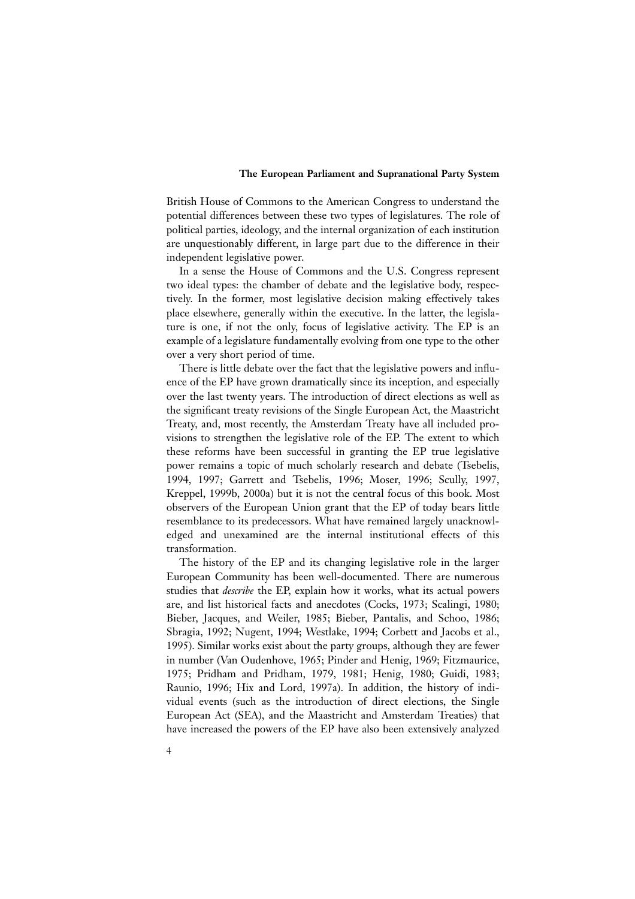British House of Commons to the American Congress to understand the potential differences between these two types of legislatures. The role of political parties, ideology, and the internal organization of each institution are unquestionably different, in large part due to the difference in their independent legislative power.

In a sense the House of Commons and the U.S. Congress represent two ideal types: the chamber of debate and the legislative body, respectively. In the former, most legislative decision making effectively takes place elsewhere, generally within the executive. In the latter, the legislature is one, if not the only, focus of legislative activity. The EP is an example of a legislature fundamentally evolving from one type to the other over a very short period of time.

There is little debate over the fact that the legislative powers and influence of the EP have grown dramatically since its inception, and especially over the last twenty years. The introduction of direct elections as well as the significant treaty revisions of the Single European Act, the Maastricht Treaty, and, most recently, the Amsterdam Treaty have all included provisions to strengthen the legislative role of the EP. The extent to which these reforms have been successful in granting the EP true legislative power remains a topic of much scholarly research and debate (Tsebelis, 1994, 1997; Garrett and Tsebelis, 1996; Moser, 1996; Scully, 1997, Kreppel, 1999b, 2000a) but it is not the central focus of this book. Most observers of the European Union grant that the EP of today bears little resemblance to its predecessors. What have remained largely unacknowledged and unexamined are the internal institutional effects of this transformation.

The history of the EP and its changing legislative role in the larger European Community has been well-documented. There are numerous studies that *describe* the EP, explain how it works, what its actual powers are, and list historical facts and anecdotes (Cocks, 1973; Scalingi, 1980; Bieber, Jacques, and Weiler, 1985; Bieber, Pantalis, and Schoo, 1986; Sbragia, 1992; Nugent, 1994; Westlake, 1994; Corbett and Jacobs et al., 1995). Similar works exist about the party groups, although they are fewer in number (Van Oudenhove, 1965; Pinder and Henig, 1969; Fitzmaurice, 1975; Pridham and Pridham, 1979, 1981; Henig, 1980; Guidi, 1983; Raunio, 1996; Hix and Lord, 1997a). In addition, the history of individual events (such as the introduction of direct elections, the Single European Act (SEA), and the Maastricht and Amsterdam Treaties) that have increased the powers of the EP have also been extensively analyzed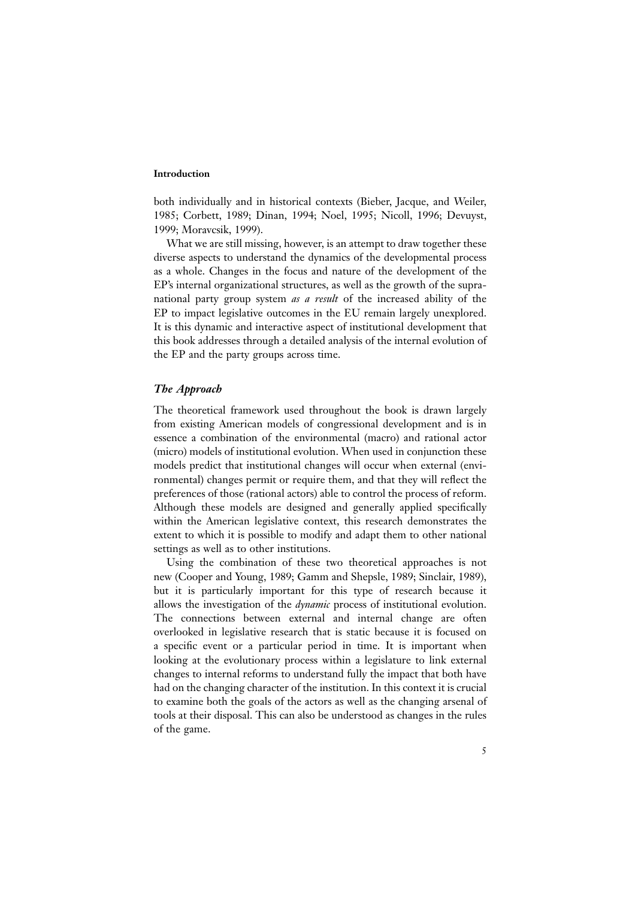both individually and in historical contexts (Bieber, Jacque, and Weiler, 1985; Corbett, 1989; Dinan, 1994; Noel, 1995; Nicoll, 1996; Devuyst, 1999; Moravcsik, 1999).

What we are still missing, however, is an attempt to draw together these diverse aspects to understand the dynamics of the developmental process as a whole. Changes in the focus and nature of the development of the EP's internal organizational structures, as well as the growth of the supranational party group system *as a result* of the increased ability of the EP to impact legislative outcomes in the EU remain largely unexplored. It is this dynamic and interactive aspect of institutional development that this book addresses through a detailed analysis of the internal evolution of the EP and the party groups across time.

### *The Approach*

The theoretical framework used throughout the book is drawn largely from existing American models of congressional development and is in essence a combination of the environmental (macro) and rational actor (micro) models of institutional evolution. When used in conjunction these models predict that institutional changes will occur when external (environmental) changes permit or require them, and that they will reflect the preferences of those (rational actors) able to control the process of reform. Although these models are designed and generally applied specifically within the American legislative context, this research demonstrates the extent to which it is possible to modify and adapt them to other national settings as well as to other institutions.

Using the combination of these two theoretical approaches is not new (Cooper and Young, 1989; Gamm and Shepsle, 1989; Sinclair, 1989), but it is particularly important for this type of research because it allows the investigation of the *dynamic* process of institutional evolution. The connections between external and internal change are often overlooked in legislative research that is static because it is focused on a specific event or a particular period in time. It is important when looking at the evolutionary process within a legislature to link external changes to internal reforms to understand fully the impact that both have had on the changing character of the institution. In this context it is crucial to examine both the goals of the actors as well as the changing arsenal of tools at their disposal. This can also be understood as changes in the rules of the game.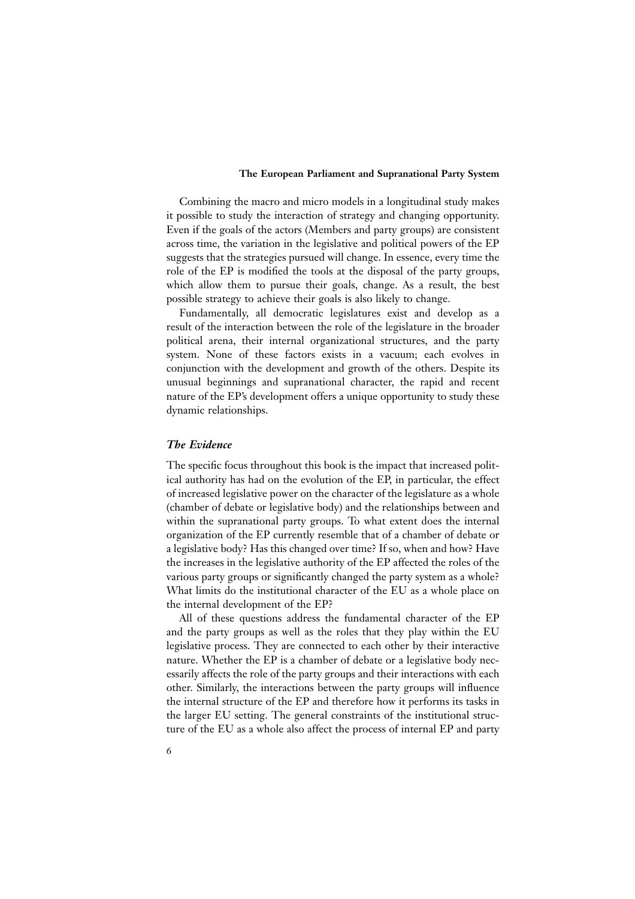Combining the macro and micro models in a longitudinal study makes it possible to study the interaction of strategy and changing opportunity. Even if the goals of the actors (Members and party groups) are consistent across time, the variation in the legislative and political powers of the EP suggests that the strategies pursued will change. In essence, every time the role of the EP is modified the tools at the disposal of the party groups, which allow them to pursue their goals, change. As a result, the best possible strategy to achieve their goals is also likely to change.

Fundamentally, all democratic legislatures exist and develop as a result of the interaction between the role of the legislature in the broader political arena, their internal organizational structures, and the party system. None of these factors exists in a vacuum; each evolves in conjunction with the development and growth of the others. Despite its unusual beginnings and supranational character, the rapid and recent nature of the EP's development offers a unique opportunity to study these dynamic relationships.

### *The Evidence*

The specific focus throughout this book is the impact that increased political authority has had on the evolution of the EP, in particular, the effect of increased legislative power on the character of the legislature as a whole (chamber of debate or legislative body) and the relationships between and within the supranational party groups. To what extent does the internal organization of the EP currently resemble that of a chamber of debate or a legislative body? Has this changed over time? If so, when and how? Have the increases in the legislative authority of the EP affected the roles of the various party groups or significantly changed the party system as a whole? What limits do the institutional character of the EU as a whole place on the internal development of the EP?

All of these questions address the fundamental character of the EP and the party groups as well as the roles that they play within the EU legislative process. They are connected to each other by their interactive nature. Whether the EP is a chamber of debate or a legislative body necessarily affects the role of the party groups and their interactions with each other. Similarly, the interactions between the party groups will influence the internal structure of the EP and therefore how it performs its tasks in the larger EU setting. The general constraints of the institutional structure of the EU as a whole also affect the process of internal EP and party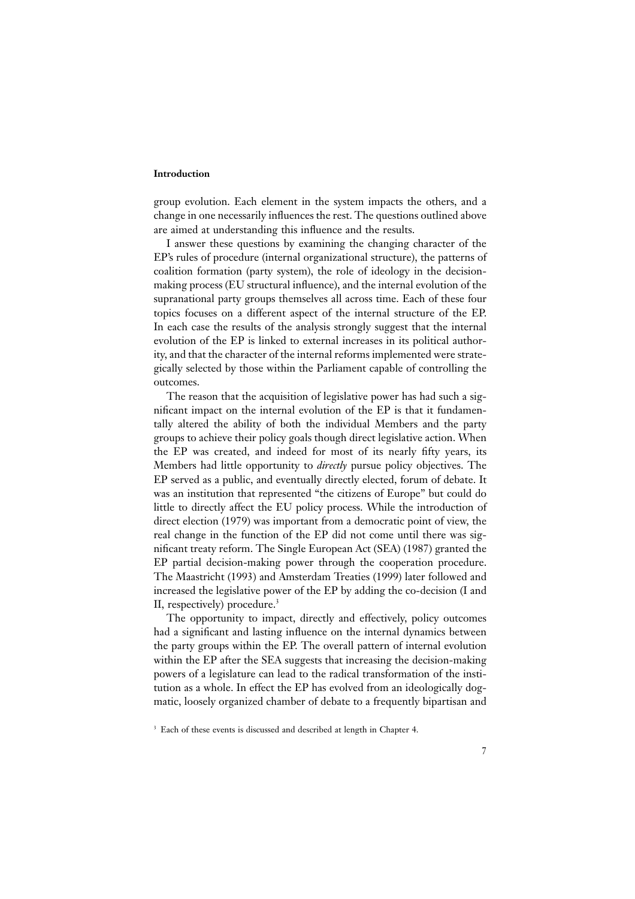group evolution. Each element in the system impacts the others, and a change in one necessarily influences the rest. The questions outlined above are aimed at understanding this influence and the results.

I answer these questions by examining the changing character of the EP's rules of procedure (internal organizational structure), the patterns of coalition formation (party system), the role of ideology in the decisionmaking process (EU structural influence), and the internal evolution of the supranational party groups themselves all across time. Each of these four topics focuses on a different aspect of the internal structure of the EP. In each case the results of the analysis strongly suggest that the internal evolution of the EP is linked to external increases in its political authority, and that the character of the internal reforms implemented were strategically selected by those within the Parliament capable of controlling the outcomes.

The reason that the acquisition of legislative power has had such a significant impact on the internal evolution of the EP is that it fundamentally altered the ability of both the individual Members and the party groups to achieve their policy goals though direct legislative action. When the EP was created, and indeed for most of its nearly fifty years, its Members had little opportunity to *directly* pursue policy objectives. The EP served as a public, and eventually directly elected, forum of debate. It was an institution that represented "the citizens of Europe" but could do little to directly affect the EU policy process. While the introduction of direct election (1979) was important from a democratic point of view, the real change in the function of the EP did not come until there was significant treaty reform. The Single European Act (SEA) (1987) granted the EP partial decision-making power through the cooperation procedure. The Maastricht (1993) and Amsterdam Treaties (1999) later followed and increased the legislative power of the EP by adding the co-decision (I and II, respectively) procedure.3

The opportunity to impact, directly and effectively, policy outcomes had a significant and lasting influence on the internal dynamics between the party groups within the EP. The overall pattern of internal evolution within the EP after the SEA suggests that increasing the decision-making powers of a legislature can lead to the radical transformation of the institution as a whole. In effect the EP has evolved from an ideologically dogmatic, loosely organized chamber of debate to a frequently bipartisan and

<sup>&</sup>lt;sup>3</sup> Each of these events is discussed and described at length in Chapter 4.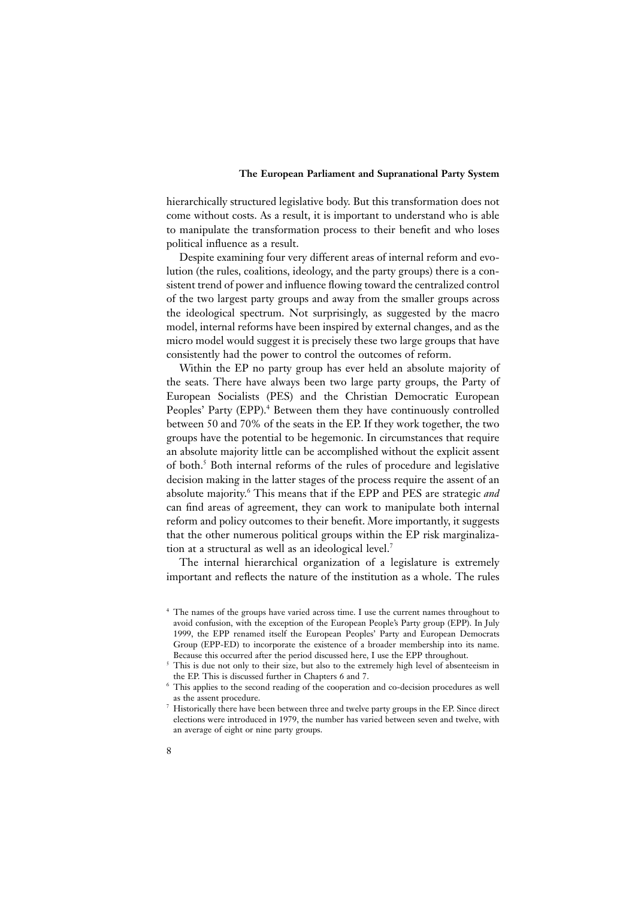hierarchically structured legislative body. But this transformation does not come without costs. As a result, it is important to understand who is able to manipulate the transformation process to their benefit and who loses political influence as a result.

Despite examining four very different areas of internal reform and evolution (the rules, coalitions, ideology, and the party groups) there is a consistent trend of power and influence flowing toward the centralized control of the two largest party groups and away from the smaller groups across the ideological spectrum. Not surprisingly, as suggested by the macro model, internal reforms have been inspired by external changes, and as the micro model would suggest it is precisely these two large groups that have consistently had the power to control the outcomes of reform.

Within the EP no party group has ever held an absolute majority of the seats. There have always been two large party groups, the Party of European Socialists (PES) and the Christian Democratic European Peoples' Party (EPP).<sup>4</sup> Between them they have continuously controlled between 50 and 70% of the seats in the EP. If they work together, the two groups have the potential to be hegemonic. In circumstances that require an absolute majority little can be accomplished without the explicit assent of both.5 Both internal reforms of the rules of procedure and legislative decision making in the latter stages of the process require the assent of an absolute majority.<sup>6</sup> This means that if the EPP and PES are strategic *and* can find areas of agreement, they can work to manipulate both internal reform and policy outcomes to their benefit. More importantly, it suggests that the other numerous political groups within the EP risk marginalization at a structural as well as an ideological level.<sup>7</sup>

The internal hierarchical organization of a legislature is extremely important and reflects the nature of the institution as a whole. The rules

<sup>4</sup> The names of the groups have varied across time. I use the current names throughout to avoid confusion, with the exception of the European People's Party group (EPP). In July 1999, the EPP renamed itself the European Peoples' Party and European Democrats Group (EPP-ED) to incorporate the existence of a broader membership into its name. Because this occurred after the period discussed here, I use the EPP throughout.

<sup>&</sup>lt;sup>5</sup> This is due not only to their size, but also to the extremely high level of absenteeism in the EP. This is discussed further in Chapters 6 and 7.

<sup>6</sup> This applies to the second reading of the cooperation and co-decision procedures as well as the assent procedure.

<sup>7</sup> Historically there have been between three and twelve party groups in the EP. Since direct elections were introduced in 1979, the number has varied between seven and twelve, with an average of eight or nine party groups.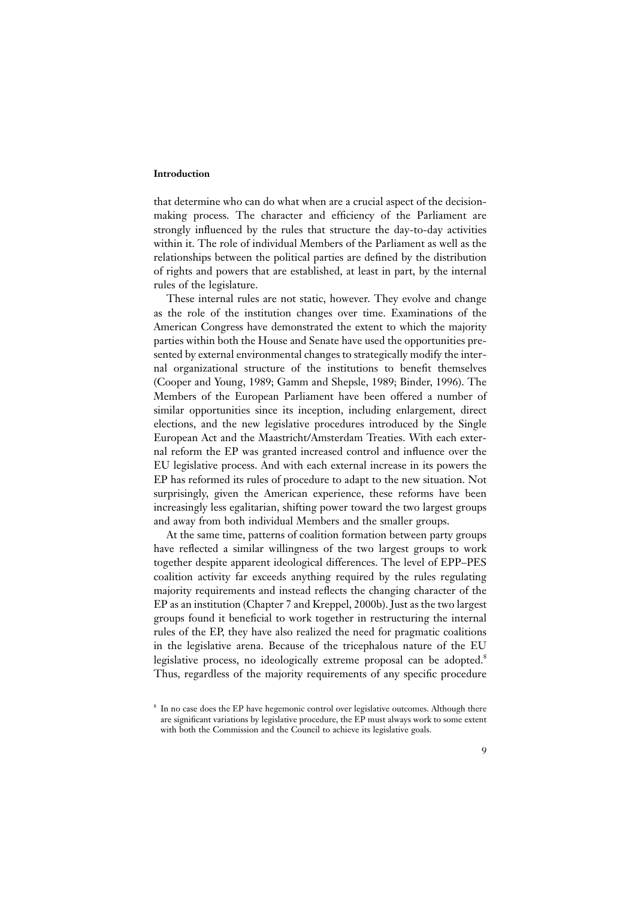that determine who can do what when are a crucial aspect of the decisionmaking process. The character and efficiency of the Parliament are strongly influenced by the rules that structure the day-to-day activities within it. The role of individual Members of the Parliament as well as the relationships between the political parties are defined by the distribution of rights and powers that are established, at least in part, by the internal rules of the legislature.

These internal rules are not static, however. They evolve and change as the role of the institution changes over time. Examinations of the American Congress have demonstrated the extent to which the majority parties within both the House and Senate have used the opportunities presented by external environmental changes to strategically modify the internal organizational structure of the institutions to benefit themselves (Cooper and Young, 1989; Gamm and Shepsle, 1989; Binder, 1996). The Members of the European Parliament have been offered a number of similar opportunities since its inception, including enlargement, direct elections, and the new legislative procedures introduced by the Single European Act and the Maastricht/Amsterdam Treaties. With each external reform the EP was granted increased control and influence over the EU legislative process. And with each external increase in its powers the EP has reformed its rules of procedure to adapt to the new situation. Not surprisingly, given the American experience, these reforms have been increasingly less egalitarian, shifting power toward the two largest groups and away from both individual Members and the smaller groups.

At the same time, patterns of coalition formation between party groups have reflected a similar willingness of the two largest groups to work together despite apparent ideological differences. The level of EPP–PES coalition activity far exceeds anything required by the rules regulating majority requirements and instead reflects the changing character of the EP as an institution (Chapter 7 and Kreppel, 2000b). Just as the two largest groups found it beneficial to work together in restructuring the internal rules of the EP, they have also realized the need for pragmatic coalitions in the legislative arena. Because of the tricephalous nature of the EU legislative process, no ideologically extreme proposal can be adopted.<sup>8</sup> Thus, regardless of the majority requirements of any specific procedure

<sup>&</sup>lt;sup>8</sup> In no case does the EP have hegemonic control over legislative outcomes. Although there are significant variations by legislative procedure, the EP must always work to some extent with both the Commission and the Council to achieve its legislative goals.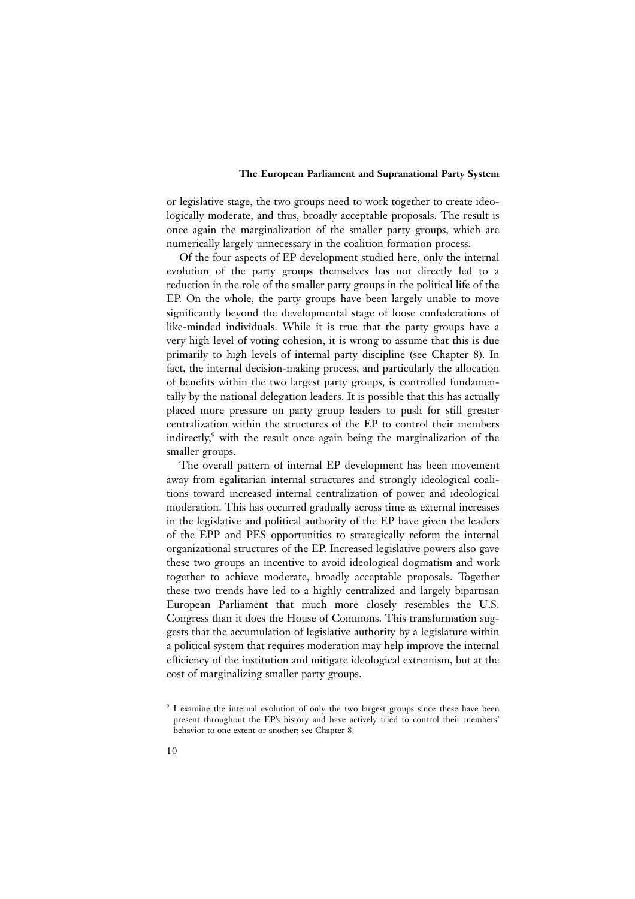or legislative stage, the two groups need to work together to create ideologically moderate, and thus, broadly acceptable proposals. The result is once again the marginalization of the smaller party groups, which are numerically largely unnecessary in the coalition formation process.

Of the four aspects of EP development studied here, only the internal evolution of the party groups themselves has not directly led to a reduction in the role of the smaller party groups in the political life of the EP. On the whole, the party groups have been largely unable to move significantly beyond the developmental stage of loose confederations of like-minded individuals. While it is true that the party groups have a very high level of voting cohesion, it is wrong to assume that this is due primarily to high levels of internal party discipline (see Chapter 8). In fact, the internal decision-making process, and particularly the allocation of benefits within the two largest party groups, is controlled fundamentally by the national delegation leaders. It is possible that this has actually placed more pressure on party group leaders to push for still greater centralization within the structures of the EP to control their members indirectly, $9$  with the result once again being the marginalization of the smaller groups.

The overall pattern of internal EP development has been movement away from egalitarian internal structures and strongly ideological coalitions toward increased internal centralization of power and ideological moderation. This has occurred gradually across time as external increases in the legislative and political authority of the EP have given the leaders of the EPP and PES opportunities to strategically reform the internal organizational structures of the EP. Increased legislative powers also gave these two groups an incentive to avoid ideological dogmatism and work together to achieve moderate, broadly acceptable proposals. Together these two trends have led to a highly centralized and largely bipartisan European Parliament that much more closely resembles the U.S. Congress than it does the House of Commons. This transformation suggests that the accumulation of legislative authority by a legislature within a political system that requires moderation may help improve the internal efficiency of the institution and mitigate ideological extremism, but at the cost of marginalizing smaller party groups.

<sup>&</sup>lt;sup>9</sup> I examine the internal evolution of only the two largest groups since these have been present throughout the EP's history and have actively tried to control their members' behavior to one extent or another; see Chapter 8.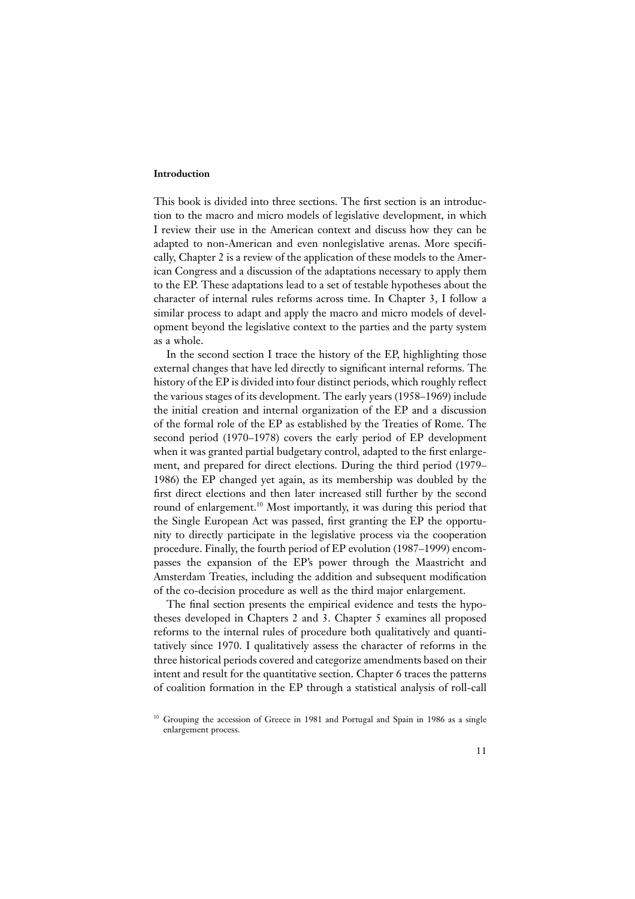This book is divided into three sections. The first section is an introduction to the macro and micro models of legislative development, in which I review their use in the American context and discuss how they can be adapted to non-American and even nonlegislative arenas. More specifically, Chapter 2 is a review of the application of these models to the American Congress and a discussion of the adaptations necessary to apply them to the EP. These adaptations lead to a set of testable hypotheses about the character of internal rules reforms across time. In Chapter 3, I follow a similar process to adapt and apply the macro and micro models of development beyond the legislative context to the parties and the party system as a whole.

In the second section I trace the history of the EP, highlighting those external changes that have led directly to significant internal reforms. The history of the EP is divided into four distinct periods, which roughly reflect the various stages of its development. The early years (1958–1969) include the initial creation and internal organization of the EP and a discussion of the formal role of the EP as established by the Treaties of Rome. The second period (1970–1978) covers the early period of EP development when it was granted partial budgetary control, adapted to the first enlargement, and prepared for direct elections. During the third period (1979– 1986) the EP changed yet again, as its membership was doubled by the first direct elections and then later increased still further by the second round of enlargement.<sup>10</sup> Most importantly, it was during this period that the Single European Act was passed, first granting the EP the opportunity to directly participate in the legislative process via the cooperation procedure. Finally, the fourth period of EP evolution (1987–1999) encompasses the expansion of the EP's power through the Maastricht and Amsterdam Treaties, including the addition and subsequent modification of the co-decision procedure as well as the third major enlargement.

The final section presents the empirical evidence and tests the hypotheses developed in Chapters 2 and 3. Chapter 5 examines all proposed reforms to the internal rules of procedure both qualitatively and quantitatively since 1970. I qualitatively assess the character of reforms in the three historical periods covered and categorize amendments based on their intent and result for the quantitative section. Chapter 6 traces the patterns of coalition formation in the EP through a statistical analysis of roll-call

<sup>&</sup>lt;sup>10</sup> Grouping the accession of Greece in 1981 and Portugal and Spain in 1986 as a single enlargement process.